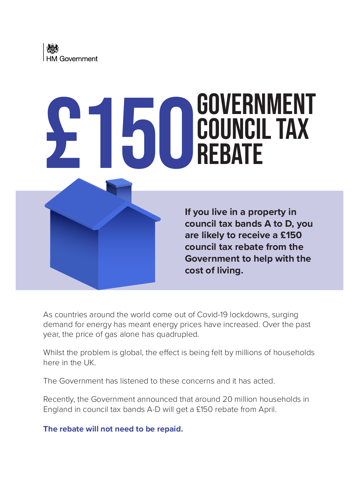# **£150 GOVERNMENT**<br> **ED** COUNCIL TAX Council Tax **REBATE**



**If you live in a property in council tax bands A to D, you are likely to receive a £150 council tax rebate from the Government to help with the cost of living.**

As countries around the world come out of Covid-19 lockdowns, surging demand for energy has meant energy prices have increased. Over the past year, the price of gas alone has quadrupled.

Whilst the problem is global, the effect is being felt by millions of households here in the UK.

The Government has listened to these concerns and it has acted.

Recently, the Government announced that around 20 million households in England in council tax bands A-D will get a £150 rebate from April.

**The rebate will not need to be repaid.**